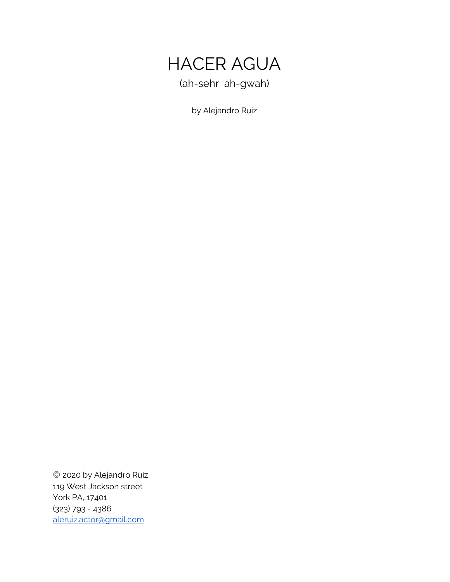

by Alejandro Ruiz

© 2020 by Alejandro Ruiz 119 West Jackson street York PA, 17401 (323) 793 - 4386 [aleruiz.actor@gmail.com](mailto:aleruiz.actor@gmail.com)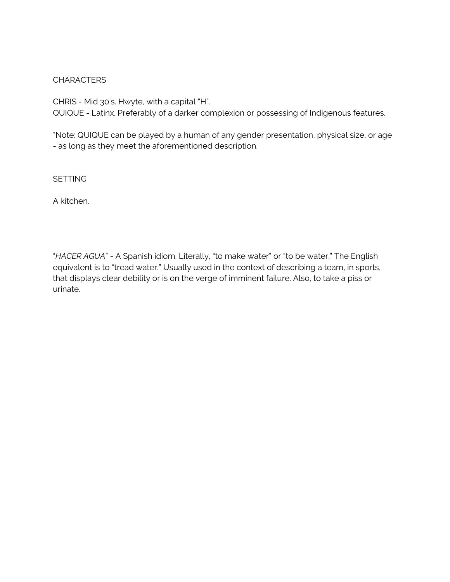#### CHARACTERS

CHRIS - Mid 30's. Hwyte, with a capital "H". QUIQUE - Latinx. Preferably of a darker complexion or possessing of Indigenous features.

\*Note: QUIQUE can be played by a human of any gender presentation, physical size, or age - as long as they meet the aforementioned description.

**SETTING** 

A kitchen.

"*HACER AGUA*" - A Spanish idiom. Literally, "to make water" or "to be water." The English equivalent is to "tread water." Usually used in the context of describing a team, in sports, that displays clear debility or is on the verge of imminent failure. Also, to take a piss or urinate.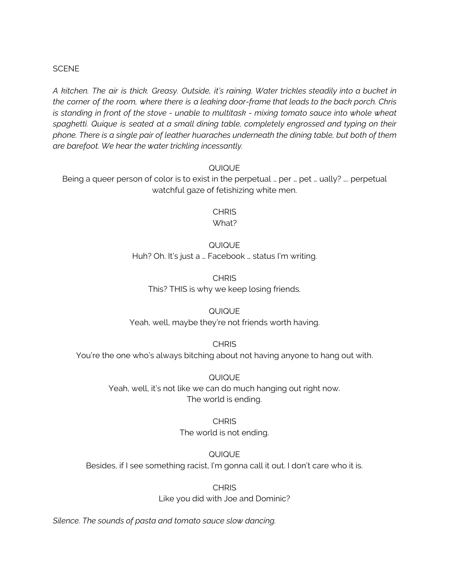#### **SCENE**

*A kitchen. The air is thick. Greasy. Outside, it's raining. Water trickles steadily into a bucket in the corner of the room, where there is a leaking door-frame that leads to the back porch. Chris is standing in front of the stove - unable to multitask - mixing tomato sauce into whole wheat spaghetti. Quique is seated at a small dining table, completely engrossed and typing on their phone. There is a single pair of leather huaraches underneath the dining table, but both of them are barefoot. We hear the water trickling incessantly.*

#### QUIQUE

Being a queer person of color is to exist in the perpetual … per … pet … ually? …. perpetual watchful gaze of fetishizing white men.

> **CHRIS** What?

#### QUIQUE

Huh? Oh. It's just a … Facebook … status I'm writing.

**CHRIS** This? THIS is why we keep losing friends.

#### QUIQUE

Yeah, well, maybe they're not friends worth having.

**CHRIS** 

You're the one who's always bitching about not having anyone to hang out with.

QUIQUE Yeah, well, it's not like we can do much hanging out right now. The world is ending.

> **CHRIS** The world is not ending.

QUIQUE Besides, if I see something racist, I'm gonna call it out. I don't care who it is.

> **CHRIS** Like you did with Joe and Dominic?

*Silence. The sounds of pasta and tomato sauce slow dancing.*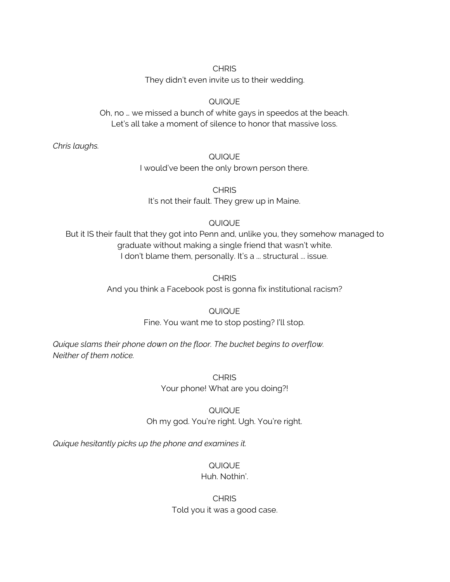#### **CHRIS**

They didn't even invite us to their wedding.

### QUIQUE

Oh, no … we missed a bunch of white gays in speedos at the beach. Let's all take a moment of silence to honor that massive loss.

*Chris laughs.*

#### QUIQUE

I would've been the only brown person there.

**CHRIS** It's not their fault. They grew up in Maine.

## QUIQUE

But it IS their fault that they got into Penn and, unlike you, they somehow managed to graduate without making a single friend that wasn't white. I don't blame them, personally. It's a ... structural ... issue.

> **CHRIS** And you think a Facebook post is gonna fix institutional racism?

## QUIQUE

Fine. You want me to stop posting? I'll stop.

*Quique slams their phone down on the floor. The bucket begins to overflow. Neither of them notice.*

### **CHRIS** Your phone! What are you doing?!

## QUIQUE Oh my god. You're right. Ugh. You're right.

*Quique hesitantly picks up the phone and examines it.*

## QUIQUE

## Huh. Nothin'.

### **CHRIS** Told you it was a good case.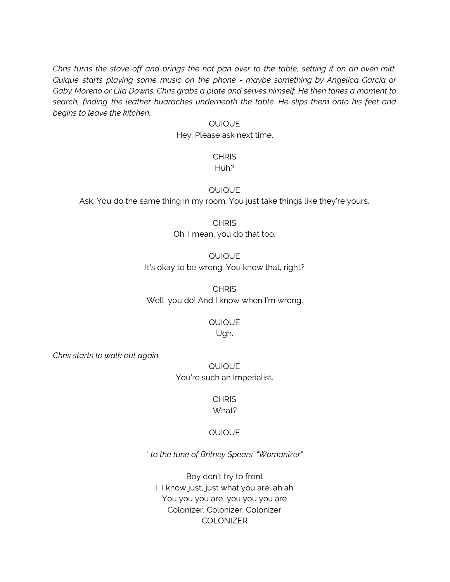Chris turns the stove off and brings the hot pan over to the table, setting it on an oven mitt. *Quique starts playing some music on the phone - maybe something by Angelica Garcia or Gaby Moreno or Lila Downs. Chris grabs a plate and serves himself. He then takes a moment to search, finding the leather huaraches underneath the table. He slips them onto his feet and begins to leave the kitchen.*

#### QUIQUE

Hey. Please ask next time.

#### **CHRIS** Huh?

#### QUIQUE

Ask. You do the same thing in my room. You just take things like they're yours.

## **CHRIS**

Oh. I mean, you do that too.

#### QUIQUE It's okay to be wrong. You know that, right?

CHRIS Well, you do! And I know when I'm wrong.

## QUIQUE

Ugh.

*Chris starts to walk out again.*

QUIQUE You're such an Imperialist.

## **CHRIS**

## What?

#### QUIQUE

*\* to the tune of Britney Spears' "Womanizer"*

Boy don't try to front I, I know just, just what you are, ah ah You you you are, you you you are Colonizer, Colonizer, Colonizer COLONIZER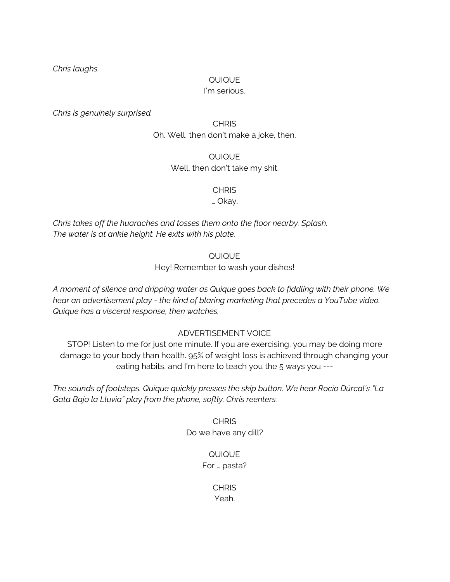*Chris laughs.*

#### QUIQUE

#### I'm serious.

*Chris is genuinely surprised.*

**CHRIS** Oh. Well, then don't make a joke, then.

> QUIQUE Well, then don't take my shit.

> > **CHRIS**

… Okay.

*Chris takes off the huaraches and tosses them onto the floor nearby. Splash. The water is at ankle height. He exits with his plate.*

QUIQUE

Hey! Remember to wash your dishes!

*A moment of silence and dripping water as Quique goes back to fiddling with their phone. We hear an advertisement play - the kind of blaring marketing that precedes a YouTube video. Quique has a visceral response, then watches.*

ADVERTISEMENT VOICE

STOP! Listen to me for just one minute. If you are exercising, you may be doing more damage to your body than health. 95% of weight loss is achieved through changing your eating habits, and I'm here to teach you the 5 ways you ---

*The sounds of footsteps. Quique quickly presses the skip button. We hear Rocío Dúrcal's "La Gata Bajo la Lluvia" play from the phone, softly. Chris reenters.*

> **CHRIS** Do we have any dill?

## QUIQUE

For … pasta?

**CHRIS** Yeah.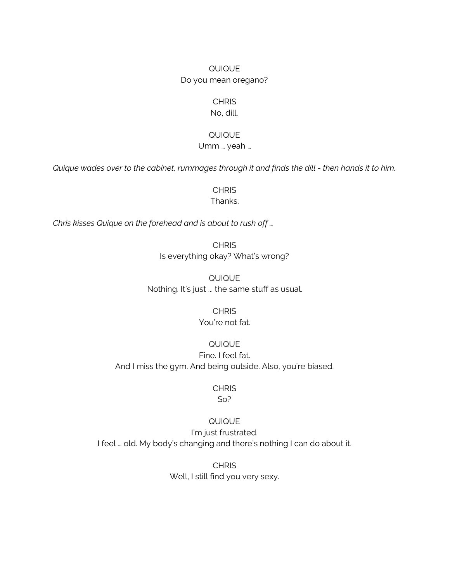## QUIQUE Do you mean oregano?

#### **CHRIS**

No, dill.

#### QUIQUE

Umm … yeah …

Quique wades over to the cabinet, rummages through it and finds the dill - then hands it to him.

**CHRIS** Thanks.

*Chris kisses Quique on the forehead and is about to rush off …*

**CHRIS** Is everything okay? What's wrong?

QUIQUE Nothing. It's just ... the same stuff as usual.

# **CHRIS**

You're not fat.

#### QUIQUE

Fine. I feel fat. And I miss the gym. And being outside. Also, you're biased.

#### **CHRIS**

So?

#### QUIQUE

I'm just frustrated. I feel … old. My body's changing and there's nothing I can do about it.

> **CHRIS** Well, I still find you very sexy.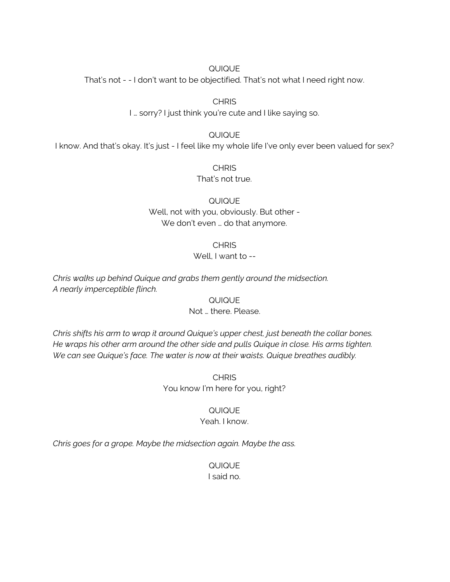That's not - - I don't want to be objectified. That's not what I need right now.

**CHRIS** 

I … sorry? I just think you're cute and I like saying so.

QUIQUE

I know. And that's okay. It's just - I feel like my whole life I've only ever been valued for sex?

**CHRIS** That's not true.

QUIQUE Well, not with you, obviously. But other - We don't even ... do that anymore.

**CHRIS** 

#### Well, I want to --

*Chris walks up behind Quique and grabs them gently around the midsection. A nearly imperceptible flinch.*

QUIQUE

Not … there. Please.

*Chris shifts his arm to wrap it around Quique's upper chest, just beneath the collar bones. He wraps his other arm around the other side and pulls Quique in close. His arms tighten. We can see Quique's face. The water is now at their waists. Quique breathes audibly.*

> **CHRIS** You know I'm here for you, right?

> > QUIQUE Yeah. I know.

*Chris goes for a grope. Maybe the midsection again. Maybe the ass.*

QUIQUE I said no.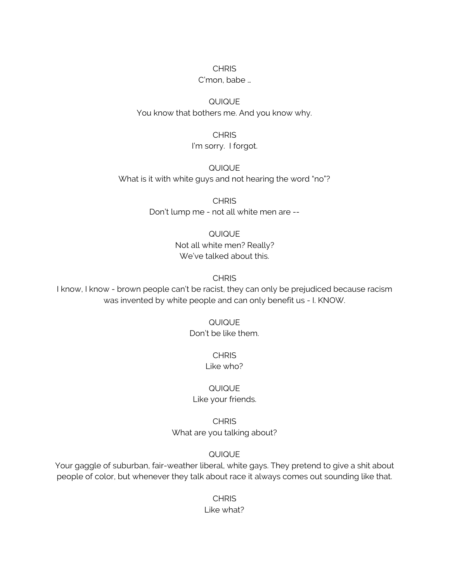#### **CHRIS**

#### C'mon, babe …

## QUIQUE You know that bothers me. And you know why.

#### **CHRIS** I'm sorry. I forgot.

QUIQUE What is it with white guys and not hearing the word "no"?

> **CHRIS** Don't lump me - not all white men are --

## QUIQUE Not all white men? Really? We've talked about this.

#### **CHRIS**

I know, I know - brown people can't be racist, they can only be prejudiced because racism was invented by white people and can only benefit us - I. KNOW.

## QUIQUE Don't be like them.

## **CHRIS**

## Like who?

#### QUIQUE Like your friends.

## **CHRIS** What are you talking about?

#### QUIQUE

Your gaggle of suburban, fair-weather liberal, white gays. They pretend to give a shit about people of color, but whenever they talk about race it always comes out sounding like that.

### **CHRIS** Like what?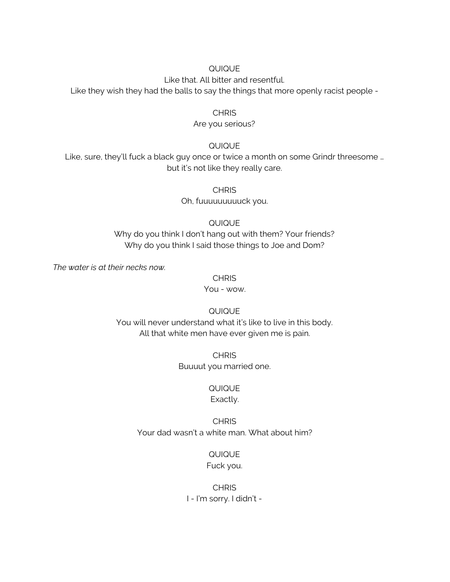Like that. All bitter and resentful.

Like they wish they had the balls to say the things that more openly racist people -

#### **CHRIS**

#### Are you serious?

#### QUIQUE

Like, sure, they'll fuck a black guy once or twice a month on some Grindr threesome … but it's not like they really care.

**CHRIS** 

Oh, fuuuuuuuuuck you.

QUIQUE

Why do you think I don't hang out with them? Your friends? Why do you think I said those things to Joe and Dom?

*The water is at their necks now.*

**CHRIS** 

You - wow.

QUIQUE

You will never understand what it's like to live in this body. All that white men have ever given me is pain.

> **CHRIS** Buuuut you married one.

#### QUIQUE Exactly.

## **CHRIS** Your dad wasn't a white man. What about him?

QUIQUE Fuck you.

## **CHRIS** I - I'm sorry. I didn't -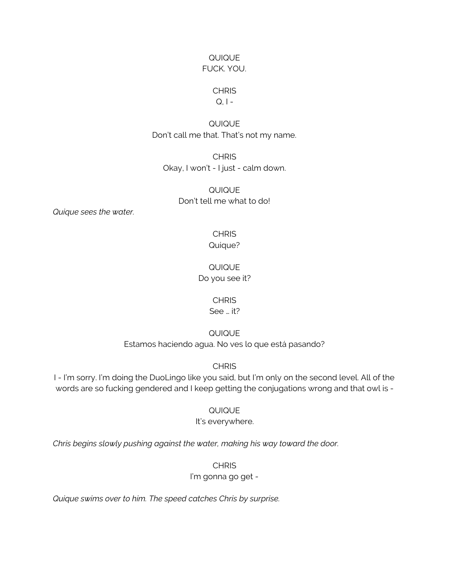#### QUIQUE FUCK. YOU.

#### **CHRIS**

#### $Q, I -$

## QUIQUE Don't call me that. That's not my name.

**CHRIS** Okay, I won't - I just - calm down.

> QUIQUE Don't tell me what to do!

*Quique sees the water.*

#### **CHRIS** Quique?

QUIQUE Do you see it?

#### **CHRIS**

See … it?

QUIQUE

Estamos haciendo agua. No ves lo que está pasando?

#### **CHRIS**

I - I'm sorry. I'm doing the DuoLingo like you said, but I'm only on the second level. All of the words are so fucking gendered and I keep getting the conjugations wrong and that owl is -

QUIQUE

#### It's everywhere.

*Chris begins slowly pushing against the water, making his way toward the door.*

**CHRIS** 

#### I'm gonna go get -

*Quique swims over to him. The speed catches Chris by surprise.*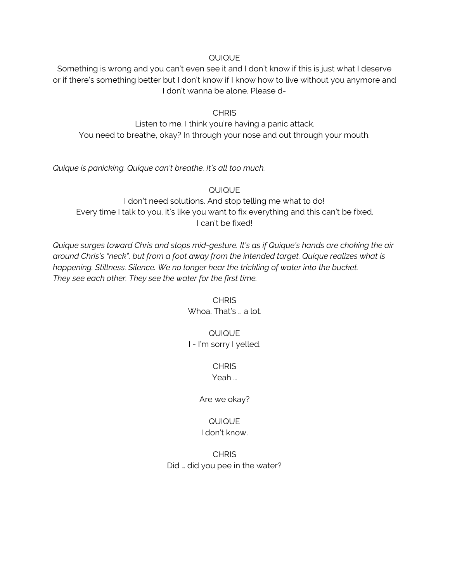Something is wrong and you can't even see it and I don't know if this is just what I deserve or if there's something better but I don't know if I know how to live without you anymore and I don't wanna be alone. Please d-

#### **CHRIS**

Listen to me. I think you're having a panic attack. You need to breathe, okay? In through your nose and out through your mouth.

*Quique is panicking. Quique can't breathe. It's all too much.*

QUIQUE I don't need solutions. And stop telling me what to do! Every time I talk to you, it's like you want to fix everything and this can't be fixed. I can't be fixed!

*Quique surges toward Chris and stops mid-gesture. It's as if Quique's hands are choking the air around Chris's "neck", but from a foot away from the intended target. Quique realizes what is happening. Stillness. Silence. We no longer hear the trickling of water into the bucket. They see each other. They see the water for the first time.*

> **CHRIS** Whoa. That's … a lot.

## QUIQUE I - I'm sorry I yelled.

**CHRIS** 

Yeah …

Are we okay?

#### QUIQUE I don't know.

**CHRIS** Did … did you pee in the water?